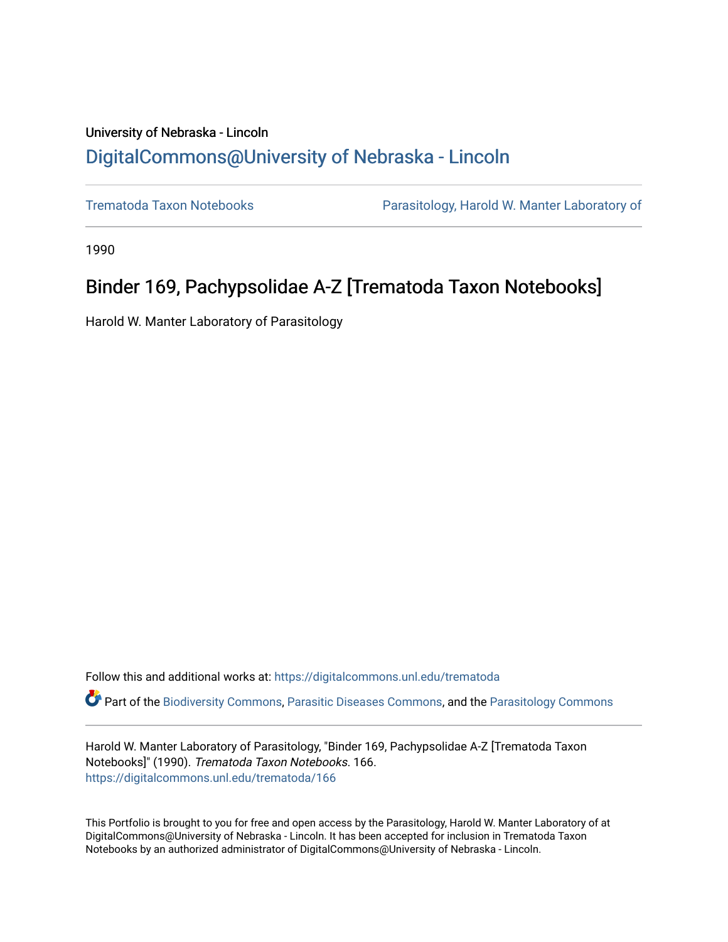# University of Nebraska - Lincoln [DigitalCommons@University of Nebraska - Lincoln](https://digitalcommons.unl.edu/)

[Trematoda Taxon Notebooks](https://digitalcommons.unl.edu/trematoda) [Parasitology, Harold W. Manter Laboratory of](https://digitalcommons.unl.edu/parasitology-manterlab) 

1990

# Binder 169, Pachypsolidae A-Z [Trematoda Taxon Notebooks]

Harold W. Manter Laboratory of Parasitology

Follow this and additional works at: [https://digitalcommons.unl.edu/trematoda](https://digitalcommons.unl.edu/trematoda?utm_source=digitalcommons.unl.edu%2Ftrematoda%2F166&utm_medium=PDF&utm_campaign=PDFCoverPages) 

Part of the [Biodiversity Commons](http://network.bepress.com/hgg/discipline/1127?utm_source=digitalcommons.unl.edu%2Ftrematoda%2F166&utm_medium=PDF&utm_campaign=PDFCoverPages), [Parasitic Diseases Commons](http://network.bepress.com/hgg/discipline/983?utm_source=digitalcommons.unl.edu%2Ftrematoda%2F166&utm_medium=PDF&utm_campaign=PDFCoverPages), and the [Parasitology Commons](http://network.bepress.com/hgg/discipline/39?utm_source=digitalcommons.unl.edu%2Ftrematoda%2F166&utm_medium=PDF&utm_campaign=PDFCoverPages) 

Harold W. Manter Laboratory of Parasitology, "Binder 169, Pachypsolidae A-Z [Trematoda Taxon Notebooks]" (1990). Trematoda Taxon Notebooks. 166. [https://digitalcommons.unl.edu/trematoda/166](https://digitalcommons.unl.edu/trematoda/166?utm_source=digitalcommons.unl.edu%2Ftrematoda%2F166&utm_medium=PDF&utm_campaign=PDFCoverPages) 

This Portfolio is brought to you for free and open access by the Parasitology, Harold W. Manter Laboratory of at DigitalCommons@University of Nebraska - Lincoln. It has been accepted for inclusion in Trematoda Taxon Notebooks by an authorized administrator of DigitalCommons@University of Nebraska - Lincoln.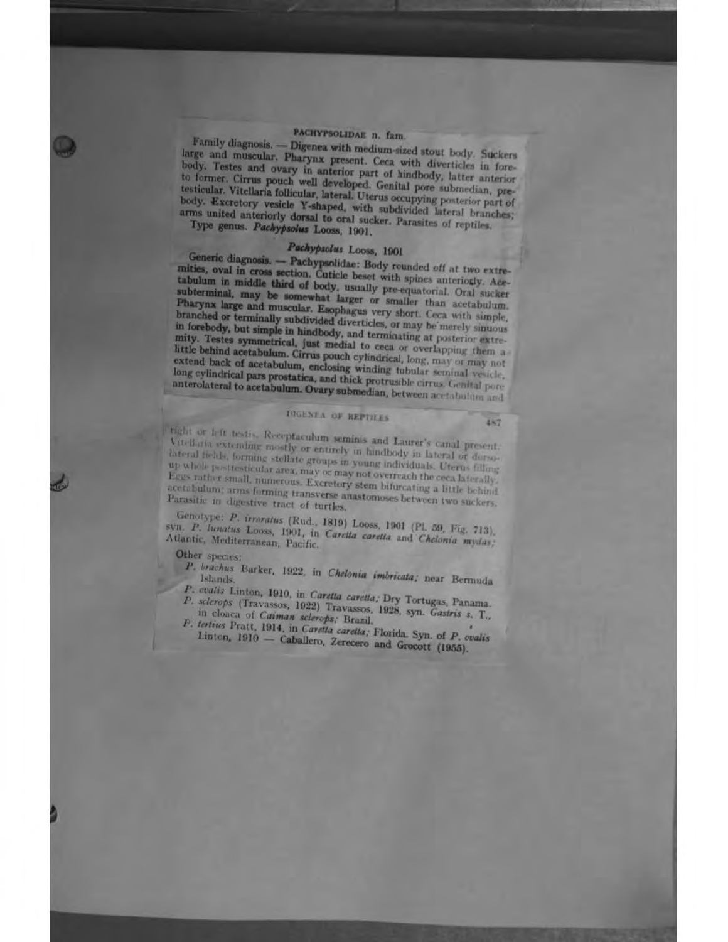## PACHYPSOLIDAE n. fam.

Family diagnosis. - Digenea with medium-sized stout body. Suckers large and muscular. Pharynx present. Ceca with diverticles in forebody. Testes and ovary in anterior part of hindbody, latter anterior to former. Cirrus pouch well developed. Genital pore submedian, pretesticular. Vitellaria follicular, lateral. Uterus occupying posterior part of body. Excretory vesicle Y-shaped, with subdivided lateral branches; arms united anteriorly dorsal to oral sucker. Parasites of reptiles.

Type genus. Pachypsolus Looss, 1901.

## Pachypsolus Looss, 1901

Generic diagnosis. -- Pachypsolidae: Body rounded off at two extremities, oval in cross section. Cuticle beset with spines anteriorly. Accubation in middle third of body, usually pre-equatorial. Oral sucker subterminal, may be somewhat larger or smaller than acetabulum. Pharynx large and muscular. Esophagus very short. Ceca with simple, branched or terminally subdivided diverticles, or may be merely sinuous in forebody, but simple in hindbody, and terminating at posterior extremity. Testes symmetrical, just medial to ceca or overlapping them a little behind acetabulum. Cirrus pouch cylindrical, long, may or may not extend back of acetabulum, enclosing winding tubular seminal vesicle, long cylindrical pars prostatica, and thick protrusible cirrus. Genital pore anterolateral to acetabulum. Ovary submedian, between acetabulum and

## DIGENTA OF REPTILES

487

right or left testis. Receptaculum seminis and Laurer's canal present. Vitellaria extending mostly or entirely in hindbody in lateral or dursolateral fields, forming stellate groups in young individuals. Uterus filling up whole posttesticular area, may or may not overreach the ceca laterally. Eggs rather small, numerous. Excretory stem bifurcating a little behind acetabulum; arms forming transverse anastomoses between two suckers. Parasitic in digestive tract of turtles,

Genotype: P. irroratus (Rud., 1819) Looss, 1901 (Pl. 59, Fig. 713), syn. P. hinatus Looss, 1901, in Caretta caretta and Chelonia mydas; Atlantic, Mediterranean, Pacific.

Other species:

P. brachus Barker, 1922, in Chelonia imbricata; near Bernuda

- P. ovalis Linton, 1910, in Caretta caretta; Dry Tortugas, Panama. P. sclerops (Travassos, 1922) Travassos, 1928, syn. Gastris s. T., in clonca of Caiman sclerops; Brazil.
- P. tertius Pratt, 1914, in Caretta caretta; Florida. Syn. of P. ovalis

Linton, 1910 - Caballero, Zerecero and Grocott (1955).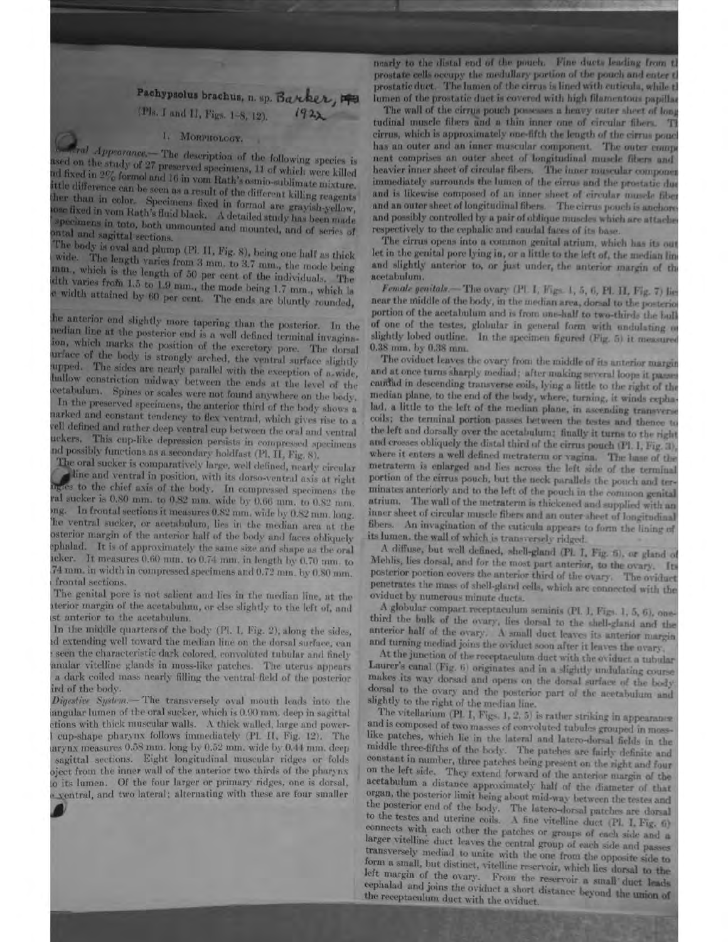## Pachypsolus brachus, n. sp. Barker, 19 (Pls. I and H, Figs. 1-8, 12).

### 1. MORPHOLOGY.

miral Appearance. The description of the following species is sed on the study of 27 preserved specimens, 11 of which were killed ed fixed in 2% formal and 16 in vom Rath's asmio-sublimate mixture. ttle difference can be seen as a result of the different killing reagents her than in color. Specimens fixed in formol are grayish-yellow, assed in vom Rath's fluid black. A detailed study has been made specimens in toto, both unmounted and mounted, and of series of ntal and sagittal sections.

The body is oval and plump (Pl. II, Fig. 8), being one half as thick wide. The length varies from 3 mm, to 3.7 mm., the mode being mm., which is the length of 50 per cent of the individuals. The dth varies from 1.5 to 1.9 mm., the mode being 1.7 mm., which is width attained by 60 per cent. The ends are bluntly rounded,

he anterior end slightly more tapering than the posterior. In the redian line at the posterior end is a well defined terminal invaginaion, which marks the position of the excretory pore. The dorsal urface of the body is strongly arched, the ventral surface slightly upped. The sides are nearly parallel with the exception of a wide, hallow constriction midway between the ends at the level of the cetabulum. Spines or scales were not found anywhere on the body, In the preserved specimens, the anterior third of the body shows a arked and constant tendency to flex ventrad, which gives rise to a rell defined and rather deep ventral cup between the oral and ventral uckers. This cup-like depression persists in compressed specimens nd possibly functions as a secondary holdfast (Pl, II, Fig. 8).

The oral sucker is comparatively large, well defined, nearly circular line and ventral in position, with its dorso-ventral axis at right les to the chief axis of the body. In compressed specimens the ral sucker is 0.80 mm, to 0.82 mm, wide by 0.66 mm, to 0.82 mm. In frontal sections it measures 0.82 mm, wide by 0.82 mm, long. ng. he ventral sucker, or acetabulum, lies in the median area at the esterior margin of the anterior half of the body and faces obliquely phalad. It is of approximately the same size and shape as the oral icker. It measures 0.60 mm. to 0.74 mm. in length by 0.70 mm. to 74 mm. in width in compressed specimens and 0.72 mm. by 0.80 mm. frontal sections.

The genital pore is not salient and lies in the median line, at the terior margin of the acetabulum, or else slightly to the left of, and st anterior to the acetabulum.

In the middle quarters of the body (Pl. I, Fig. 2), along the sides, d extending well toward the median line on the dorsal surface, can seen the characteristic dark colored, convoluted tubular and finely anular vitelline glands in moss-like patches. The uterus appears a dark coiled mass nearly filling the ventral field of the posterior ird of the body.

Digestive System. - The transversely oval mouth leads into the angular lumen of the oral sucker, which is 0.90 mm, deep in sagittal tions with thick muscular walls. A thick walled, large and powercup-shape pharynx follows immediately (Pl. II, Fig. 12). The arynx measures 0.58 mm. long by 0.52 mm. wide by 0.44 mm. deep sagittal sections. Eight longitudinal muscular ridges or folds oject from the inner wall of the anterior two thirds of the pharynx o its lumen. Of the four larger or primary ridges, one is dorsal, · yentral, and two lateral; alternating with these are four smaller

nearly to the distal end of the pouch. Fine ducts leading from t prostate cells occupy the medullary portion of the pouch and enter t prostatic duct. The lumen of the cirrus is lined with cuticula, while th lumen of the prostatic duct is covered with high filamentous papillar

The wall of the cirrus pouch possesses a heavy outer sheet of long tudinal muscle fibers and a thin inner one of circular fibers. T cirrus, which is approximately one-fifth the length of the cirrus pouch has an outer and an inner muscular component. The outer compo nent comprises an outer sheet of longitudinal muscle fibers and heavier inner sheet of circular fibers. The inner muscular componer immediately surrounds the lumen of the cirrus and the prostatic due and is likewise composed of an inner sheet of circular muscle fiber and an outer sheet of longitudinal fibers. The cirrus pouch is anchore and possibly controlled by a pair of oblique muscles which are attache respectively to the cephalic and caudal faces of its base.

The cirrus opens into a common genital atrium, which has its out let in the genital pore lying in, or a little to the left of, the median line and slightly anterior to, or just under, the anterior margin of the acetabulum.

Female genitals. The ovary (PL I, Figs. 1, 5, 6, Pl. II, Fig. 7) lies near the middle of the body, in the median area, dorsal to the posterio portion of the acetabulum and is from one-half to two-thirds the bull of one of the testes, globular in general form with undulating or slightly lobed outline. In the specimen figured (Fig. 5) it measured 0.38 mm. by 0.38 mm.

The oviduct leaves the ovary from the middle of its anterior margin and at once turns sharply mediad; after making several loops it passe caudid in descending transverse coils, lying a little to the right of the median plane, to the end of the body, where, turning, it winds exphalad, a little to the left of the median plane, in ascending transverse coils; the terminal portion passes between the testes and thence to the left and dorsally over the acetabulum; finally it turns to the right and crosses obliquely the distal third of the cirrus pouch (Pl. I, Fig. 3). where it enters a well defined metraterm or vagina. The base of the metraterm is enlarged and lies across the left side of the terminal portion of the cirrus pouch, but the neck parallels the pouch and terminates anteriorly and to the left of the pouch in the common genital atrium. The wall of the metraterm is thickened and supplied with an inner sheet of circular muscle fibers and an outer sheet of longitudinal fibers. An invagination of the cuticula appears to form the lining of its lumen, the wall of which is transversely ridged.

A diffuse, but well defined, shell-gland (Pl. I, Fig. 5), or gland of Mehlis, lies dorsal, and for the most part anterior, to the ovary. Its posterior portion covers the anterior third of the ovary. The oviduet penetrates the mass of shell-gland cells, which are connected with the oviduct by numerous minute ducts.

A globular compact receptaculum seminis (Pl. I, Figs. 1, 5, 6), onethird the bulk of the ovary, lies dorsal to the shell-gland and the anterior half of the ovary. A small duct leaves its anterior margin and turning mediad joins the oviduct soon after it leaves the ovary.

At the junction of the receptaculum duct with the oviduet a tubular Laurer's canal (Fig. 6) originates and in a slightly undulating course makes its way dorsad and opens on the dorsal surface of the body dorsal to the ovary and the posterior part of the acetabulum and slightly to the right of the median line.

The vitellarium (PL I, Figs. 1, 2, 5) is rather striking in appearance. and is composed of two masses of convoluted tubules grouped in mosslike patches, which lie in the lateral and latero-dorsal fields in the middle three-fifths of the body. The patches are fairly definite and constant in number, three patches being present on the right and four on the left side. They extend forward of the anterior margin of the acetabulum a distance approximately half of the diameter of that organ, the posterior limit being about mid-way between the testes and the posterior end of the body. The latero-dorsal patches are dorsal to the testes and uterine coils. A fine vitelline duct (Pl. I, Fig. 6) connects with each other the patches or groups of each side and a larger vitelline duct leaves the central group of each side and passes transversely mediad to unite with the one from the opposite side to form a small, but distinct, vitelline reservoir, which lies dorsal to the left margin of the ovary. From the reservoir a small duct leads cephalad and joins the oviduet a short distance beyond the union of the receptaculum duct with the oviduct.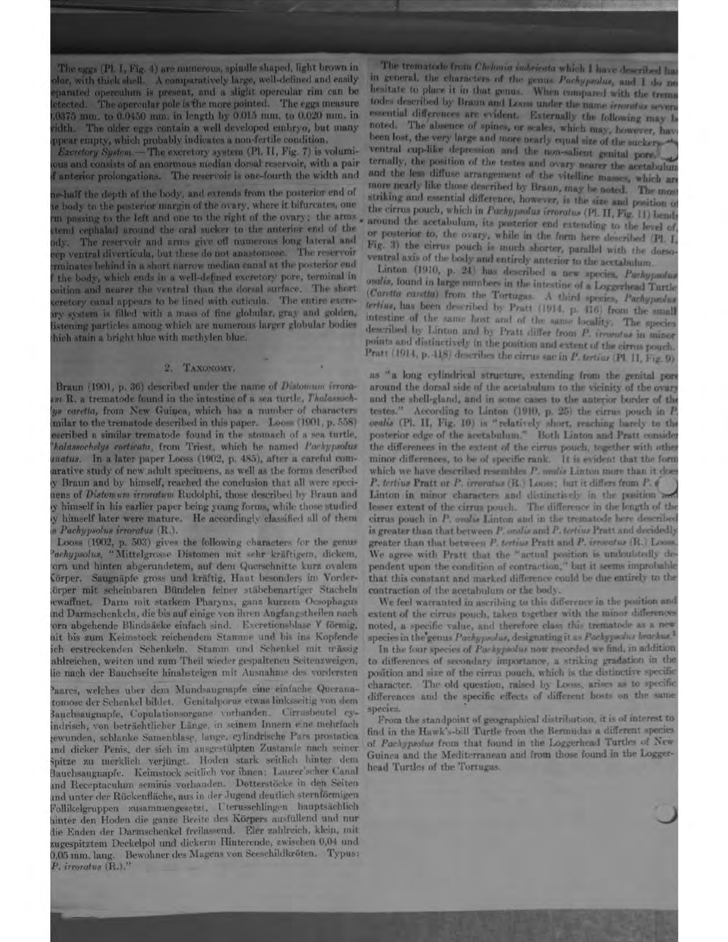The eggs (Pl. I, Fig. 4) are munerous, spindle shaped, light brown in dor, with thick shell. A comparatively large, well-defined and easily parated operculum is present, and a slight opercular rim can be tected. The opercular pole is the more pointed. The eggs measure 0375 mm, to 0.0450 mm, in length by 0.015 mm, to 0.020 mm, in idth. The older eggs contain a well developed embryo, but many opear empty, which probably indicates a non-fertile condition.

Excretory System.- The excretory system (Pl. II, Fig. 7) is volumious and consists of an enormous median dorsal reservoir, with a pair anterior prolongations. The reservoir is one-fourth the width and

e-half the depth of the body, and extends from the posterior end of e body to the posterior margin of the ovary, where it bifurcates, one in passing to the left and one to the right of the ovary; the arms tend cephalad around the oral sucker to the anterior end of the dy. The reservoir and arms give off numerous long lateral and ep ventral diverticula, but these do not annstomose. The reservoir minates behind in a short narrow median canal at the posterior end the body, which ends in a well-defined excretory pore, terminal in sition and nearer the ventral than the dorsal surface. The short cretory caual appears to be lined with euticula. The entire excrery system is filled with a mass of fine globular, gray and golden, istening particles among which are numerous larger globular bodies hich stain a bright blue with methylen blue.

#### 2. TAXONOMY.

Braun (1901, p. 36) described under the name of Distomum irroram R. a trematode found in the intestine of a sea turtle, Thalassochus coretta, from New Guinea, which has a number of characters milar to the trematode described in this paper. Looss (1901, p. 558) escribed a similar trematode found in the stomach of a sea turtle, halassochelys corticata, from Triest, which he named Pachypsolus matus. In a later paper Looss (1902, p. 485), after a careful comarative study of new adult specimens, as well as the forms described y Braun and by himself, reached the conclusion that all were specinens of Distomum irroratum Rudolphi, those described by Braun and y himself in his earlier paper being young forms, while those studied y himself later were mature. He accordingly classified all of them **S** Pachypsolus irroratus (R.).

Looss (1902, p. 503) gives the following characters for the genus achypsolus, "Mittelgrosse Distomen mit sehr kräftigem, dickem, orn und hinten abgerundetem, auf dem Querschnitte kurz ovalem 'örper. Saugnäpfe gross und kräftig. Haut besonders im Vorderörper mit scheinbaren Bündelen feiner stäbchenartiger Stacheln ewaffnet. Darm mit starkem Pharyns, ganz kurzem Oesophagus nd Darmschenkeln, die bis auf einige von ihren Angfangstheilen nach orn abgehende Blindsäcke einfach sind. Excretionsblase Y förmig, nit bis zum Keimstock reichendem Stamme und bis ins Kopfende ich erstreckenden Schenkeln. Stamm und Schenkel mit mässig ahlreichen, weiten und zum Theil wieder gespaltenen Seitenzweigen, lie nach der Bauchseite hinabsteigen mit Ausnahme des vordersten

hares, welches uber dem Mundsaugnapfe eine einfache Queranatomose der Schenkel bildet. Genitalporus etwas linksseitig von dem Bauchsaugnapfe, Copulationsorgane vorhanden. Cirrusbeutel eyindrisch, von beträchtlicher Länge, in seinem Innern eine mehrfachewunden, schlanke Samenblase, lange, cylindrische Pars prostatica und dicker Penis, der sich im ausgestülpten Zustande nach seiner Spitze zu merklich verjüngt. Hoden stark seitlich hinter dem Bauchsaugnapfe. Keimstock seitlich vor ihnen; Laurer'scher Canal und Receptaculum seminis vorhanden. Dotterstöcke in den Seiten und unter der Rückenfläche, aus in der Jugend deutlich sternförmigen Follikelgruppen zusammengesetzt. Uterusschlingen hauptsächlich ninter den Hoden die ganze Breite des Körpers ausfüllend und nur lie Enden der Darmschenkel freilassend. Efer zahlreich, klein, mit augespitztem Deckelpol und dickerm Hinterende, zwischen 0,04 und 0,05 mm. lang. Bewohner des Magens von Seeschildkröten. Typus: P. irroratus (R.).<sup>21</sup>

The trematode from Chelonia indericata which I have described ha in general, the characters of the genus Pachypsolus, and I do no hesitate to place it in that genus. When compared with the treme todes described by Braun and Loose under the name irrorates seven essential differences are evident. Externally the following may be noted. The absence of spines, or scales, which may, however, have been lost, the very large and more nearly equal size of the suckersventral cup-like depression and the non-salient genital pore. ternally, the position of the testes and ovary nearer the acetabulum and the less diffuse arrangement of the vitelline masses, which are more nearly like those described by Braun, may be noted. The most striking and essential difference, however, is the size and position of the cirrus pouch, which in Pachyprodus irroratus (Pl. II, Fig. 11) bends around the acetabulum, its posterior end extending to the level of or posterior to, the ovary, while in the form here described (Pl. I, Fig. 3) the cirrus pouch is much shorter, parallel with the domoventral axis of the body and entirely anterior to the acctabulum.

Linton (1910, p. 24) has described a new species, Pachypadus ovalis, found in large numbers in the intestine of a Loggerhead Turtle (Caretta caretta) from the Tortugas. A third species, Pachyproduct tertius, has been described by Pratt (1914, p. 416) from the small intestine of the same host and of the same locality. The species described by Linton and by Pratt differ from P. irruntus in minor points and distinctively in the position and extent of the cirrus pouch. Pratt (1914, p. 418) describes the cirrus sac in P. tertiar (Pl. II, Fig. 9)

as "a long cylindrical structure, extending from the genital port around the dorsal side of the acetabulum to the vicinity of the ovary and the shell-gland, and in some cases to the anterior border of the testes." According to Linton (1910, p. 25) the cirrus pouch in P. oralis (Pl. II, Fig. 10) is "relatively short, reaching barely to the posterior edge of the acetabulum." Both Linton and Pratt consider the differences in the extent of the cirrus pouch, together with other minor differences, to be of specific rank. It is evident that the form which we have described resembles P. undis Linton more than it does P. tertius Pratt or P. irroratus (R.) Loose; but it differs from P. C Linton in minor characters and distinctively in the pusition and lesser extent of the cirrus pouch. The difference in the length of the cirrus pouch in P. oralis Linton and in the trematode here described is greater than that between P. oralis and P. tertius Pratt and decidedly greater than that between P. tertius Pratt and P. irroratus (R.) Loose We agree with Pratt that the "actual position is undoubtedly dependent upon the condition of contraction," but it seems improbable that this constant and marked difference could be due entirely to the contraction of the acetabulum or the body.

We feel warranted in ascribing to this difference in the position and extent of the cirrus pouch, taken together with the minor differences noted, a specific value, and therefore class this trematode as a new species in the genus Pachypsolus, designating it as Pachypsolus brachus.

In the four species of Pachypsolus now recorded we find, in addition to differences of secondary importance, a striking gradation in the position and size of the cirrus pouch, which is the distinctive specific character. The old question, raised by Looss, arises as to specific differences and the specific effects of different hosts on the same species.

From the standpoint of geographical distribution, it is of interest to find in the Hawk's-bill Turtle from the Bermudas a different species of Pachyprolus from that found in the Loggerhead Turtles of New Guinea and the Mediterranean and from those found in the Loggerhead Turtles of the Tortugas.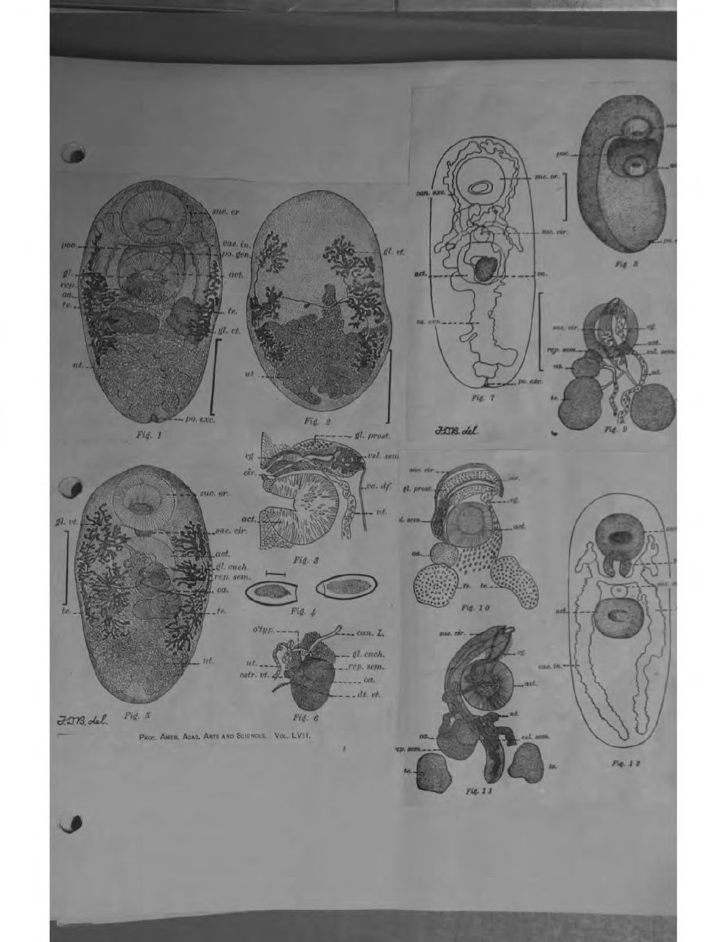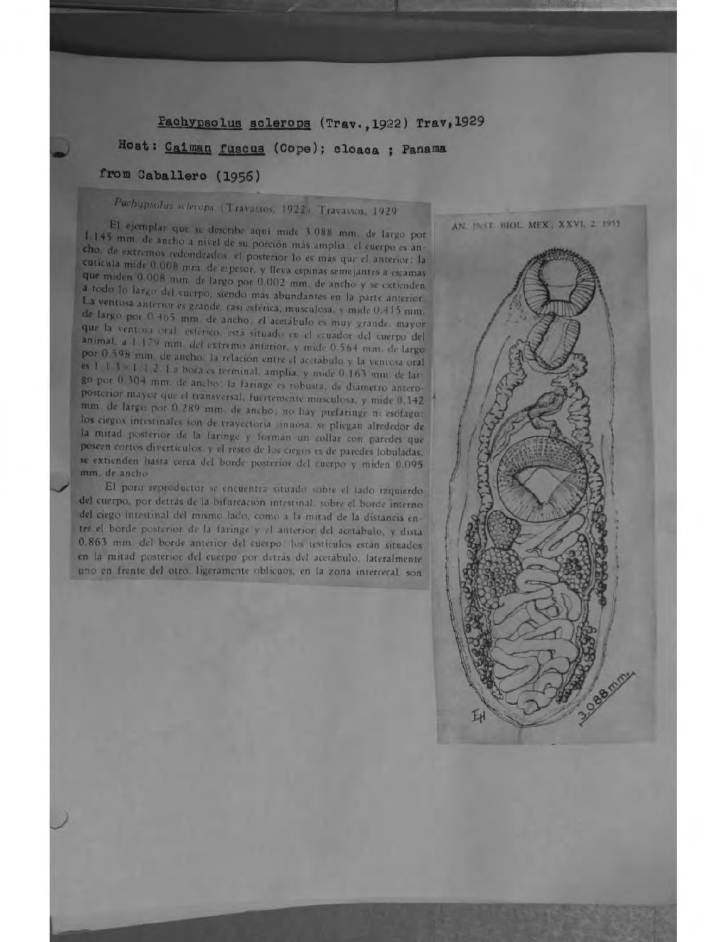### Pachypsolus sclerops (Trav., 1922) Trav, 1929

## Host: Caiman fuscus (Cope); cloaca ; Panama

## from Caballero (1956)

# Pachupsolus sclerops (Travassos, 1922) Travassos, 1929

El ejemplar que se describe aqui mide 3.088 mm. de largo por 1.145 mm de ancho a nivel de su porción más amplia: el cuerpo es ancho, de extremos redondeados, el posterior lo es más que el anterior. la cuticula mide 0.008 mm. de erpesor, y lleva espinas semejantes a escamas que miden 0.008 mm de largo por 0.002 mm. de ancho y se extienden a todo lo largo del cuerpo, siendo mas abundantes en la parte anterior, La ventosa anterior es grande, casi esferica, musculosa, y mide 0.415 mm. de largo por 0 465 mm, de ancho, el acetábulo es muy grande, mayor que la ventosa oral esfórico, está situado en el ceuador del cuerpo del animal, a 1.179 mm. del extremo anierior, y mide 0.564 mm. de largo por 0.508 mm, de ancho: la relación entre el acetábulo y la ventosa oral es 1 ± 3 < 1 1 2. La bora es terminal, amplia, y mide 0.163 mm de largo por 0.304 mm. de ancho: la faringe es robusta, de diametro anteroposterior mayor que el transversal, fuertemente musculosa, y mide 0.342. mm. de largo por 0.289 mm. de ancho; no hay prefaringe ni esofago; los ciegos intestinales son de trayectoria anuosa, se pliegan alrededor de la mitad posterior de la faringe y forman un collar con paredes que poseen cortos divertículos. y el resto de los ciegos es de paredes lobuladas. se extienden hasta cerca del borde posterior del cuerpo y miden 0.095. mm, de ancho.

El poro reproductor se encuentra situado sobre el tado izquierdo del cuerpo, por detras de la bifurcación intestinal, sobre el borde interno del ciego intestinal del mismo lado, como a la mitad de la distancia entre el borde posterior de la faringe y el anterior del acetábulo, y dista 0.863 mm. del borde anterior del cuerpo: los testiculos están situados en la mitad posterior del cuerpo por detrás del acetabulo. lateralmente uno en frente del otro, ligeramente oblicuos, en la zona intercecal, son

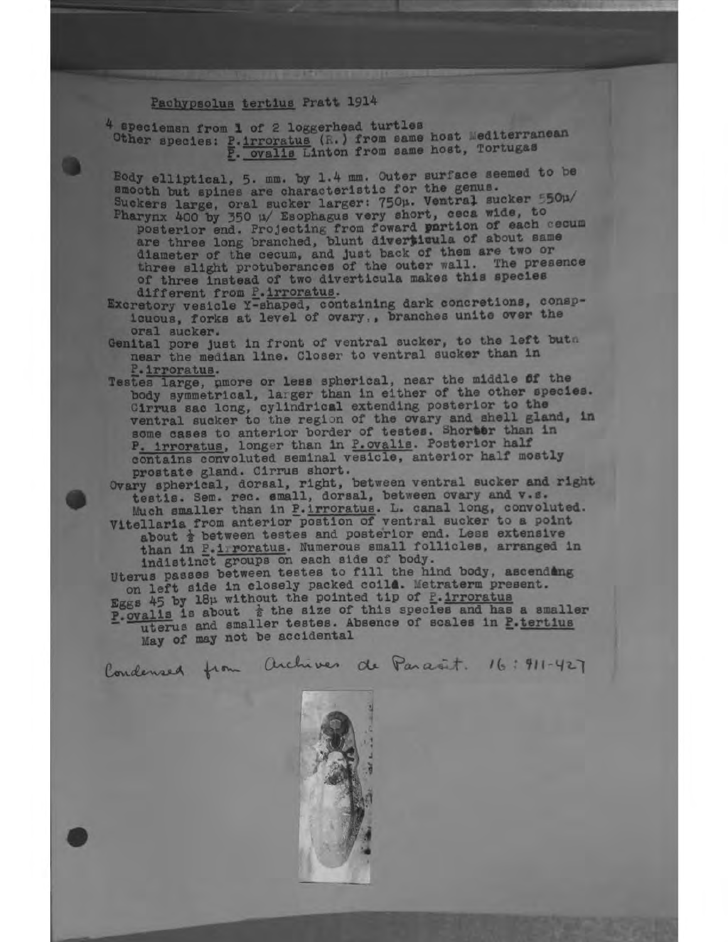## Pachypsolus tertius Pratt 1914

**OB** 

4 speciemsn from 1 of 2 loggerhead turtles Other species: P. irroratus (R.) from same host Mediterranean P. ovalis Linton from same host, Tortugas

Body elliptical, 5. mm. by 1.4 mm. Outer surface seemed to be smooth but spines are characteristic for the genus.<br>Suckers large, oral sucker larger: 750µ. Ventral sucker 550µ/

- Pharynx 400 by 350 u/ Esophagus very short, ceca wide, to posterior end. Projecting from foward portion of each cecum are three long branched, blunt diverticula of about same diameter of the cecum, and just back of them are two or three slight protuberances of the outer wall. The presence of three instead of two diverticula makes this species different from P. irroratus.
- Excretory vesicle Y-shaped, containing dark concretions, conspicuous, forks at level of ovary,, branches unite over the oral sucker.

Genital pore just in front of ventral sucker, to the left buth near the median line. Closer to ventral sucker than in P. irroratus.

Testes large, nmore or less spherical, near the middle of the body symmetrical, larger than in either of the other species. Cirrus sac long, cylindrical extending posterior to the ventral sucker to the region of the ovary and shell gland, in some cases to anterior border of testes. Shorter than in P. irroratus, longer than in P. ovalis. Posterior half contains convoluted seminal vesicle, anterior half mostly

prostate gland. Cirrus short.<br>Ovary spherical, dorsal, right, between ventral sucker and right<br>testis. Sem. rec. small, dorsal, between ovary and v.s.<br>Much smaller than in P.irroratus. L. canal long, convoluted.<br>Vitellaria

about  $\frac{1}{2}$  between testes and posterior end. Less extensive than in F.1 roratus. Numerous small follicles, arranged in

indistinct groups on each side of body.<br>Uterus passes between testes to fill the hind body, ascending on left side in closely packed coild. Metraterm present. Eggs 45 by 18p without the pointed tip of P. irroratus<br>P. ovalis is about  $\frac{1}{2}$  the size of this species and has a smaller uterus and smaller testes. Absence of scales in P.tertius May of may not be accidental

Condensed from Archives de Parant. 16: 411-427